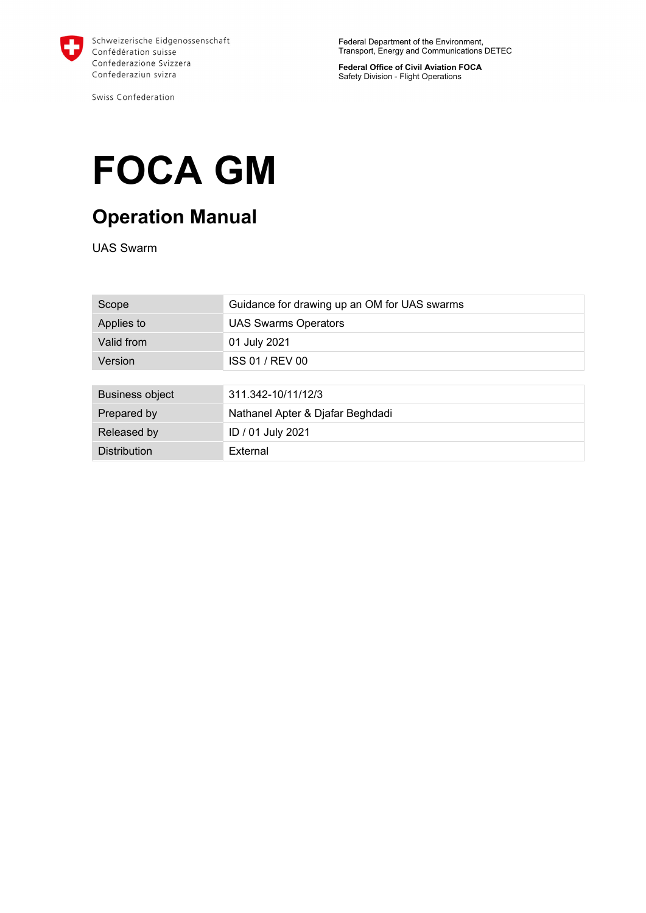

Swiss Confederation

Federal Department of the Environment, Transport, Energy and Communications DETEC

**Federal Office of Civil Aviation FOCA**  Safety Division - Flight Operations

# **FOCA GM**

# **Operation Manual**

UAS Swarm

| Scope                  | Guidance for drawing up an OM for UAS swarms |  |  |
|------------------------|----------------------------------------------|--|--|
| Applies to             | <b>UAS Swarms Operators</b>                  |  |  |
| Valid from             | 01 July 2021                                 |  |  |
| Version                | ISS 01 / REV 00                              |  |  |
|                        |                                              |  |  |
| <b>Business object</b> | 311.342-10/11/12/3                           |  |  |
| Prepared by            | Nathanel Apter & Djafar Beghdadi             |  |  |
| Released by            | ID / 01 July 2021                            |  |  |
| <b>Distribution</b>    | External                                     |  |  |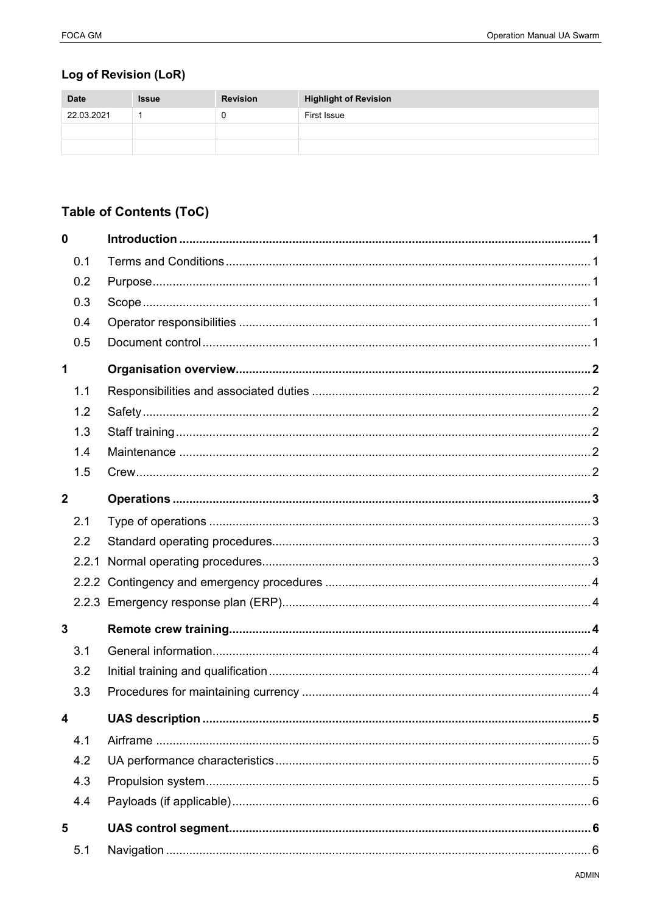# Log of Revision (LoR)

| <b>Date</b> | <b>Issue</b> | <b>Revision</b> | <b>Highlight of Revision</b> |
|-------------|--------------|-----------------|------------------------------|
| 22.03.2021  |              | υ               | First Issue                  |
|             |              |                 |                              |
|             |              |                 |                              |

# Table of Contents (ToC)

| $\mathbf{0}$            |     |                        |   |
|-------------------------|-----|------------------------|---|
|                         | 0.1 |                        |   |
|                         | 0.2 |                        |   |
|                         | 0.3 |                        |   |
|                         | 0.4 |                        |   |
|                         | 0.5 |                        |   |
| 1                       |     |                        |   |
|                         | 1.1 |                        |   |
|                         | 1.2 |                        |   |
|                         | 1.3 |                        |   |
|                         | 1.4 |                        |   |
|                         | 1.5 |                        |   |
| $\overline{2}$          |     |                        |   |
|                         | 2.1 |                        |   |
|                         | 2.2 |                        |   |
|                         |     |                        |   |
|                         |     |                        |   |
|                         |     |                        |   |
| $\overline{\mathbf{3}}$ |     |                        |   |
|                         | 3.1 |                        |   |
|                         | 3.2 |                        |   |
|                         | 3.3 |                        |   |
| $\mathbf 4$             |     | <b>UAS description</b> | 5 |
|                         | 4.1 |                        |   |
|                         | 4.2 |                        |   |
|                         | 4.3 |                        |   |
|                         | 4.4 |                        |   |
| 5                       |     |                        |   |
|                         | 5.1 |                        |   |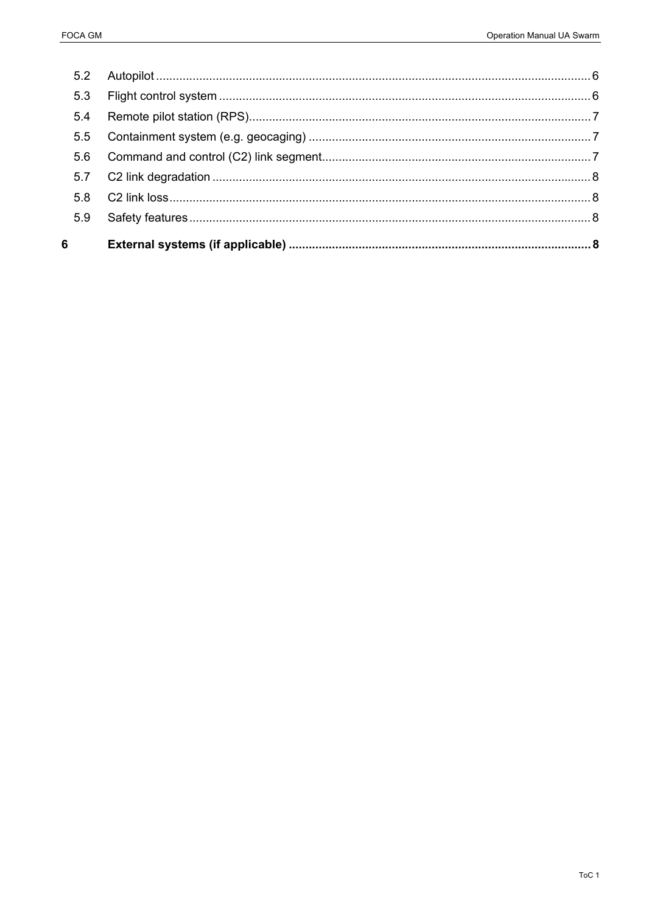| 6   |  |
|-----|--|
| 5.9 |  |
| 5.8 |  |
| 5.7 |  |
| 5.6 |  |
| 5.5 |  |
| 5.4 |  |
| 5.3 |  |
| 5.2 |  |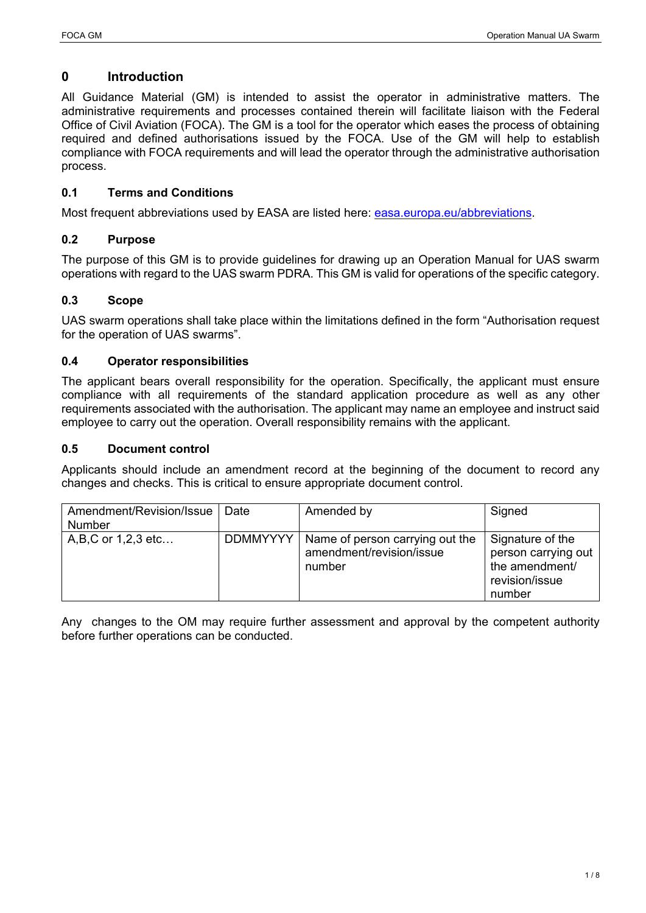# **0 Introduction**

All Guidance Material (GM) is intended to assist the operator in administrative matters. The administrative requirements and processes contained therein will facilitate liaison with the Federal Office of Civil Aviation (FOCA). The GM is a tool for the operator which eases the process of obtaining required and defined authorisations issued by the FOCA. Use of the GM will help to establish compliance with FOCA requirements and will lead the operator through the administrative authorisation process.

# **0.1 Terms and Conditions**

Most frequent abbreviations used by EASA are listed here: easa.europa.eu/abbreviations.

# **0.2 Purpose**

The purpose of this GM is to provide guidelines for drawing up an Operation Manual for UAS swarm operations with regard to the UAS swarm PDRA. This GM is valid for operations of the specific category.

# **0.3 Scope**

UAS swarm operations shall take place within the limitations defined in the form "Authorisation request for the operation of UAS swarms".

# **0.4 Operator responsibilities**

The applicant bears overall responsibility for the operation. Specifically, the applicant must ensure compliance with all requirements of the standard application procedure as well as any other requirements associated with the authorisation. The applicant may name an employee and instruct said employee to carry out the operation. Overall responsibility remains with the applicant.

# **0.5 Document control**

Applicants should include an amendment record at the beginning of the document to record any changes and checks. This is critical to ensure appropriate document control.

| Amendment/Revision/Issue<br><b>Number</b> | Date            | Amended by                                                            | Signed                                                                                |
|-------------------------------------------|-----------------|-----------------------------------------------------------------------|---------------------------------------------------------------------------------------|
| A, B, C or 1, 2, 3 etc                    | <b>DDMMYYYY</b> | Name of person carrying out the<br>amendment/revision/issue<br>number | Signature of the<br>person carrying out<br>the amendment/<br>revision/issue<br>number |

Any changes to the OM may require further assessment and approval by the competent authority before further operations can be conducted.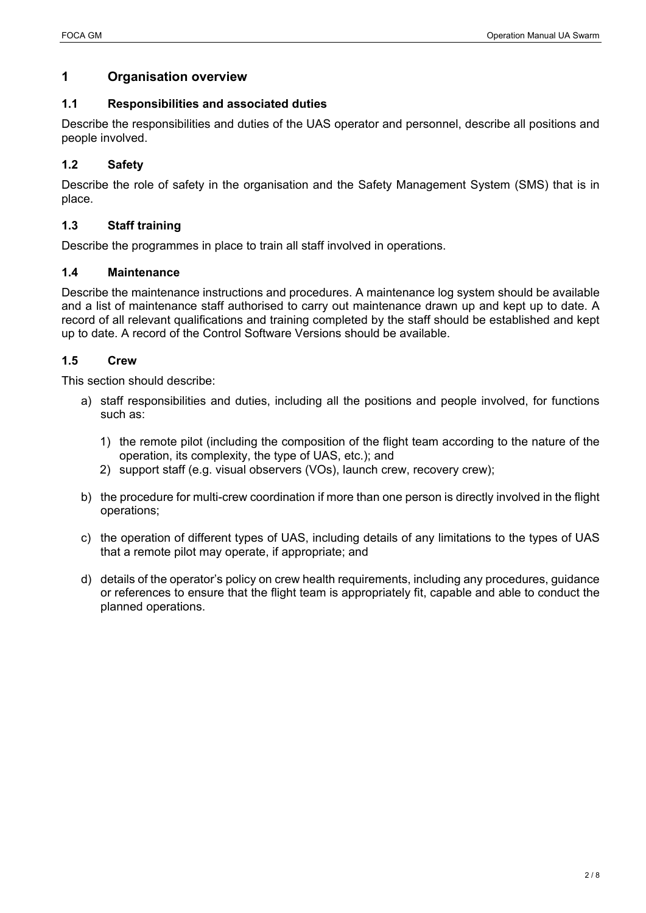#### **1 Organisation overview**

#### **1.1 Responsibilities and associated duties**

Describe the responsibilities and duties of the UAS operator and personnel, describe all positions and people involved.

#### **1.2 Safety**

Describe the role of safety in the organisation and the Safety Management System (SMS) that is in place.

#### **1.3 Staff training**

Describe the programmes in place to train all staff involved in operations.

#### **1.4 Maintenance**

Describe the maintenance instructions and procedures. A maintenance log system should be available and a list of maintenance staff authorised to carry out maintenance drawn up and kept up to date. A record of all relevant qualifications and training completed by the staff should be established and kept up to date. A record of the Control Software Versions should be available.

#### **1.5 Crew**

This section should describe:

- a) staff responsibilities and duties, including all the positions and people involved, for functions such as:
	- 1) the remote pilot (including the composition of the flight team according to the nature of the operation, its complexity, the type of UAS, etc.); and
	- 2) support staff (e.g. visual observers (VOs), launch crew, recovery crew);
- b) the procedure for multi-crew coordination if more than one person is directly involved in the flight operations;
- c) the operation of different types of UAS, including details of any limitations to the types of UAS that a remote pilot may operate, if appropriate; and
- d) details of the operator's policy on crew health requirements, including any procedures, guidance or references to ensure that the flight team is appropriately fit, capable and able to conduct the planned operations.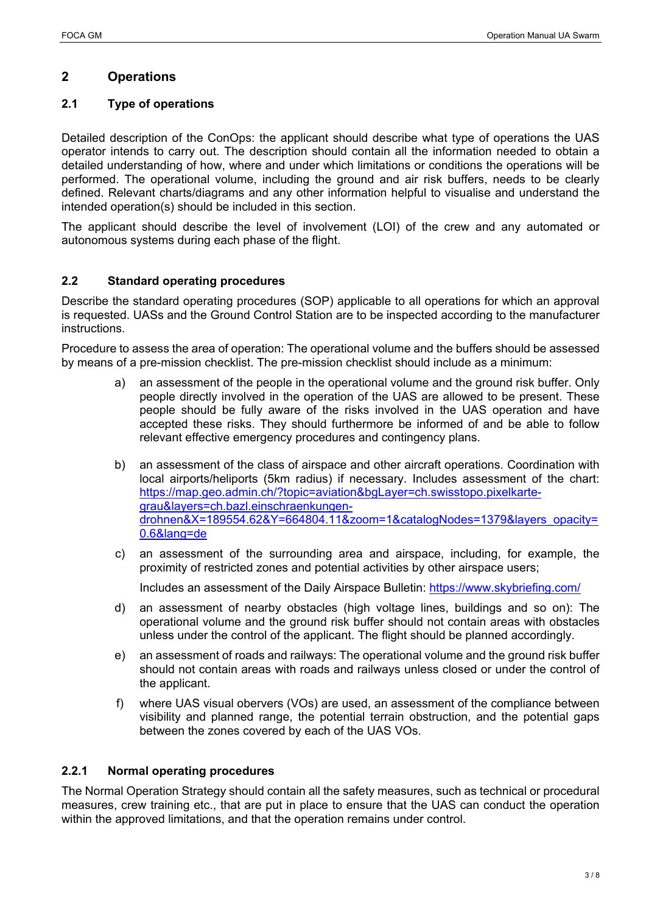# **2 Operations**

#### **2.1 Type of operations**

Detailed description of the ConOps: the applicant should describe what type of operations the UAS operator intends to carry out. The description should contain all the information needed to obtain a detailed understanding of how, where and under which limitations or conditions the operations will be performed. The operational volume, including the ground and air risk buffers, needs to be clearly defined. Relevant charts/diagrams and any other information helpful to visualise and understand the intended operation(s) should be included in this section.

The applicant should describe the level of involvement (LOI) of the crew and any automated or autonomous systems during each phase of the flight.

#### **2.2 Standard operating procedures**

Describe the standard operating procedures (SOP) applicable to all operations for which an approval is requested. UASs and the Ground Control Station are to be inspected according to the manufacturer instructions.

Procedure to assess the area of operation: The operational volume and the buffers should be assessed by means of a pre-mission checklist. The pre-mission checklist should include as a minimum:

- a) an assessment of the people in the operational volume and the ground risk buffer. Only people directly involved in the operation of the UAS are allowed to be present. These people should be fully aware of the risks involved in the UAS operation and have accepted these risks. They should furthermore be informed of and be able to follow relevant effective emergency procedures and contingency plans.
- b) an assessment of the class of airspace and other aircraft operations. Coordination with local airports/heliports (5km radius) if necessary. Includes assessment of the chart: https://map.geo.admin.ch/?topic=aviation&bgLayer=ch.swisstopo.pixelkartegrau&layers=ch.bazl.einschraenkungendrohnen&X=189554.62&Y=664804.11&zoom=1&catalogNodes=1379&layers\_opacity= 0.6&lang=de
- c) an assessment of the surrounding area and airspace, including, for example, the proximity of restricted zones and potential activities by other airspace users;

Includes an assessment of the Daily Airspace Bulletin: https://www.skybriefing.com/

- d) an assessment of nearby obstacles (high voltage lines, buildings and so on): The operational volume and the ground risk buffer should not contain areas with obstacles unless under the control of the applicant. The flight should be planned accordingly.
- e) an assessment of roads and railways: The operational volume and the ground risk buffer should not contain areas with roads and railways unless closed or under the control of the applicant.
- f) where UAS visual obervers (VOs) are used, an assessment of the compliance between visibility and planned range, the potential terrain obstruction, and the potential gaps between the zones covered by each of the UAS VOs.

#### **2.2.1 Normal operating procedures**

The Normal Operation Strategy should contain all the safety measures, such as technical or procedural measures, crew training etc., that are put in place to ensure that the UAS can conduct the operation within the approved limitations, and that the operation remains under control.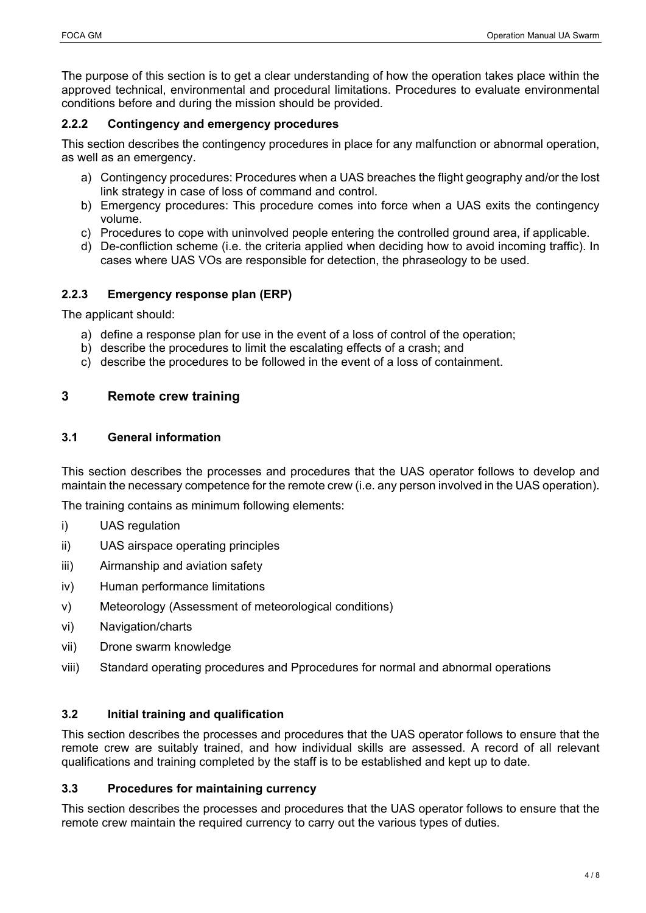The purpose of this section is to get a clear understanding of how the operation takes place within the approved technical, environmental and procedural limitations. Procedures to evaluate environmental conditions before and during the mission should be provided.

#### **2.2.2 Contingency and emergency procedures**

This section describes the contingency procedures in place for any malfunction or abnormal operation, as well as an emergency.

- a) Contingency procedures: Procedures when a UAS breaches the flight geography and/or the lost link strategy in case of loss of command and control.
- b) Emergency procedures: This procedure comes into force when a UAS exits the contingency volume.
- c) Procedures to cope with uninvolved people entering the controlled ground area, if applicable.
- d) De-confliction scheme (i.e. the criteria applied when deciding how to avoid incoming traffic). In cases where UAS VOs are responsible for detection, the phraseology to be used.

#### **2.2.3 Emergency response plan (ERP)**

The applicant should:

- a) define a response plan for use in the event of a loss of control of the operation;
- b) describe the procedures to limit the escalating effects of a crash; and
- c) describe the procedures to be followed in the event of a loss of containment.

#### **3 Remote crew training**

#### **3.1 General information**

This section describes the processes and procedures that the UAS operator follows to develop and maintain the necessary competence for the remote crew (i.e. any person involved in the UAS operation).

The training contains as minimum following elements:

- i) UAS regulation
- ii) UAS airspace operating principles
- iii) Airmanship and aviation safety
- iv) Human performance limitations
- v) Meteorology (Assessment of meteorological conditions)
- vi) Navigation/charts
- vii) Drone swarm knowledge
- viii) Standard operating procedures and Pprocedures for normal and abnormal operations

#### **3.2 Initial training and qualification**

This section describes the processes and procedures that the UAS operator follows to ensure that the remote crew are suitably trained, and how individual skills are assessed. A record of all relevant qualifications and training completed by the staff is to be established and kept up to date.

#### **3.3 Procedures for maintaining currency**

This section describes the processes and procedures that the UAS operator follows to ensure that the remote crew maintain the required currency to carry out the various types of duties.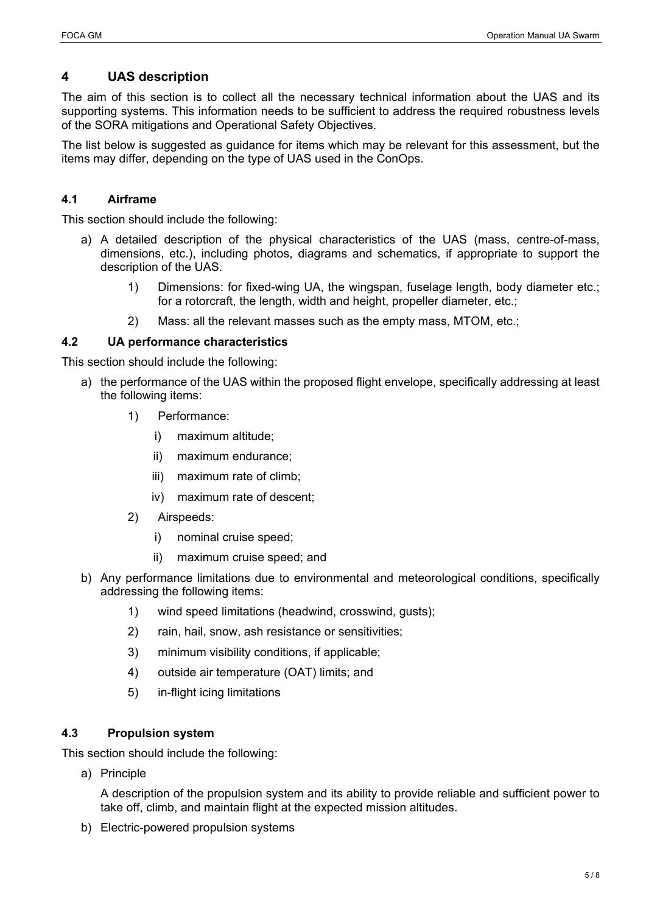# **4 UAS description**

The aim of this section is to collect all the necessary technical information about the UAS and its supporting systems. This information needs to be sufficient to address the required robustness levels of the SORA mitigations and Operational Safety Objectives.

The list below is suggested as guidance for items which may be relevant for this assessment, but the items may differ, depending on the type of UAS used in the ConOps.

#### **4.1 Airframe**

This section should include the following:

- a) A detailed description of the physical characteristics of the UAS (mass, centre-of-mass, dimensions, etc.), including photos, diagrams and schematics, if appropriate to support the description of the UAS.
	- 1) Dimensions: for fixed-wing UA, the wingspan, fuselage length, body diameter etc.; for a rotorcraft, the length, width and height, propeller diameter, etc.;
	- 2) Mass: all the relevant masses such as the empty mass, MTOM, etc.;

#### **4.2 UA performance characteristics**

This section should include the following:

- a) the performance of the UAS within the proposed flight envelope, specifically addressing at least the following items:
	- 1) Performance:
		- i) maximum altitude;
		- ii) maximum endurance;
		- iii) maximum rate of climb;
		- iv) maximum rate of descent;
	- 2) Airspeeds:
		- i) nominal cruise speed;
		- ii) maximum cruise speed; and
- b) Any performance limitations due to environmental and meteorological conditions, specifically addressing the following items:
	- 1) wind speed limitations (headwind, crosswind, gusts);
	- 2) rain, hail, snow, ash resistance or sensitivities;
	- 3) minimum visibility conditions, if applicable;
	- 4) outside air temperature (OAT) limits; and
	- 5) in-flight icing limitations

#### **4.3 Propulsion system**

This section should include the following:

a) Principle

A description of the propulsion system and its ability to provide reliable and sufficient power to take off, climb, and maintain flight at the expected mission altitudes.

b) Electric-powered propulsion systems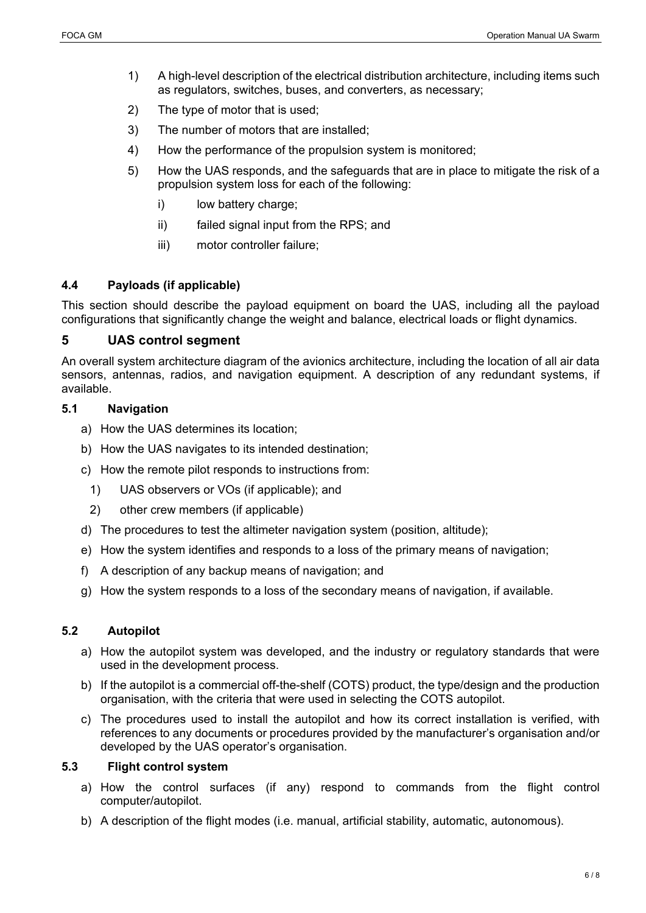- 1) A high-level description of the electrical distribution architecture, including items such as regulators, switches, buses, and converters, as necessary;
- 2) The type of motor that is used;
- 3) The number of motors that are installed;
- 4) How the performance of the propulsion system is monitored;
- 5) How the UAS responds, and the safeguards that are in place to mitigate the risk of a propulsion system loss for each of the following:
	- i) low battery charge;
	- ii) failed signal input from the RPS; and
	- iii) motor controller failure;

#### **4.4 Payloads (if applicable)**

This section should describe the payload equipment on board the UAS, including all the payload configurations that significantly change the weight and balance, electrical loads or flight dynamics.

#### **5 UAS control segment**

An overall system architecture diagram of the avionics architecture, including the location of all air data sensors, antennas, radios, and navigation equipment. A description of any redundant systems, if available.

#### **5.1 Navigation**

- a) How the UAS determines its location;
- b) How the UAS navigates to its intended destination;
- c) How the remote pilot responds to instructions from:
	- 1) UAS observers or VOs (if applicable); and
	- 2) other crew members (if applicable)
- d) The procedures to test the altimeter navigation system (position, altitude);
- e) How the system identifies and responds to a loss of the primary means of navigation;
- f) A description of any backup means of navigation; and
- g) How the system responds to a loss of the secondary means of navigation, if available.

#### **5.2 Autopilot**

- a) How the autopilot system was developed, and the industry or regulatory standards that were used in the development process.
- b) If the autopilot is a commercial off-the-shelf (COTS) product, the type/design and the production organisation, with the criteria that were used in selecting the COTS autopilot.
- c) The procedures used to install the autopilot and how its correct installation is verified, with references to any documents or procedures provided by the manufacturer's organisation and/or developed by the UAS operator's organisation.

#### **5.3 Flight control system**

- a) How the control surfaces (if any) respond to commands from the flight control computer/autopilot.
- b) A description of the flight modes (i.e. manual, artificial stability, automatic, autonomous).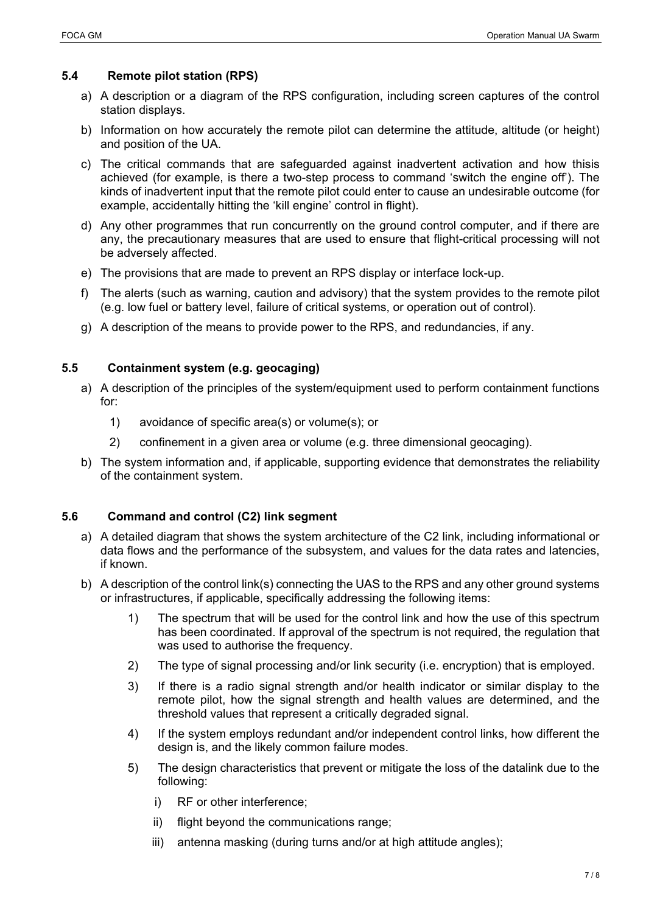#### **5.4 Remote pilot station (RPS)**

- a) A description or a diagram of the RPS configuration, including screen captures of the control station displays.
- b) Information on how accurately the remote pilot can determine the attitude, altitude (or height) and position of the UA.
- c) The critical commands that are safeguarded against inadvertent activation and how thisis achieved (for example, is there a two-step process to command 'switch the engine off'). The kinds of inadvertent input that the remote pilot could enter to cause an undesirable outcome (for example, accidentally hitting the 'kill engine' control in flight).
- d) Any other programmes that run concurrently on the ground control computer, and if there are any, the precautionary measures that are used to ensure that flight-critical processing will not be adversely affected.
- e) The provisions that are made to prevent an RPS display or interface lock-up.
- f) The alerts (such as warning, caution and advisory) that the system provides to the remote pilot (e.g. low fuel or battery level, failure of critical systems, or operation out of control).
- g) A description of the means to provide power to the RPS, and redundancies, if any.

#### **5.5 Containment system (e.g. geocaging)**

- a) A description of the principles of the system/equipment used to perform containment functions for:
	- 1) avoidance of specific area(s) or volume(s); or
	- 2) confinement in a given area or volume (e.g. three dimensional geocaging).
- b) The system information and, if applicable, supporting evidence that demonstrates the reliability of the containment system.

#### **5.6 Command and control (C2) link segment**

- a) A detailed diagram that shows the system architecture of the C2 link, including informational or data flows and the performance of the subsystem, and values for the data rates and latencies, if known.
- b) A description of the control link(s) connecting the UAS to the RPS and any other ground systems or infrastructures, if applicable, specifically addressing the following items:
	- 1) The spectrum that will be used for the control link and how the use of this spectrum has been coordinated. If approval of the spectrum is not required, the regulation that was used to authorise the frequency.
	- 2) The type of signal processing and/or link security (i.e. encryption) that is employed.
	- 3) If there is a radio signal strength and/or health indicator or similar display to the remote pilot, how the signal strength and health values are determined, and the threshold values that represent a critically degraded signal.
	- 4) If the system employs redundant and/or independent control links, how different the design is, and the likely common failure modes.
	- 5) The design characteristics that prevent or mitigate the loss of the datalink due to the following:
		- i) RF or other interference;
		- ii) flight beyond the communications range;
		- iii) antenna masking (during turns and/or at high attitude angles);